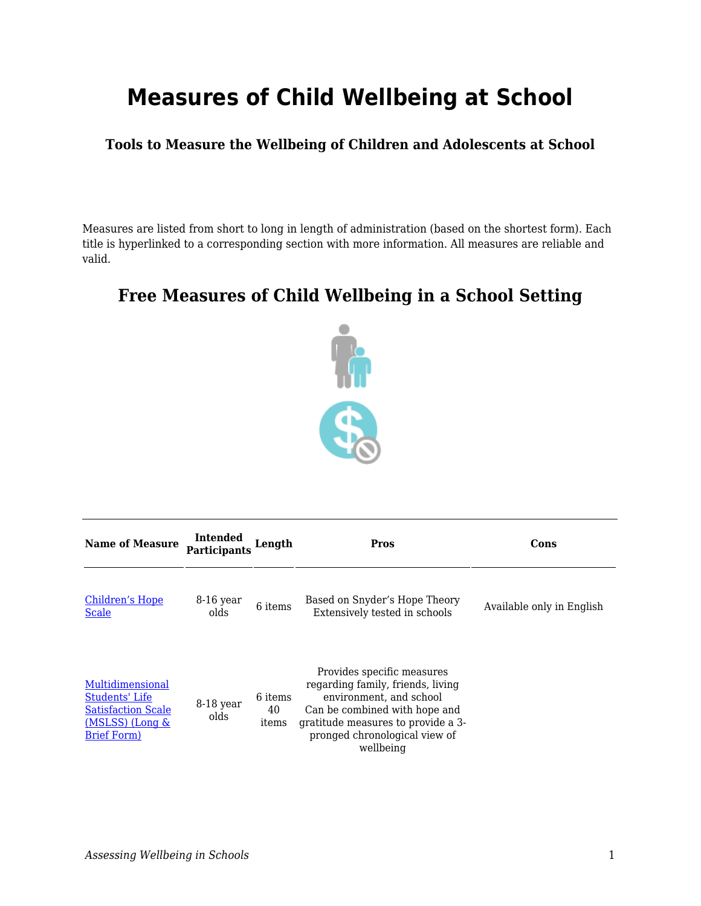## **Measures of Child Wellbeing at School**

**Tools to Measure the Wellbeing of Children and Adolescents at School**

Measures are listed from short to long in length of administration (based on the shortest form). Each title is hyperlinked to a corresponding section with more information. All measures are reliable and valid.

## **Free Measures of Child Wellbeing in a School Setting**



| <b>Name of Measure</b>                                                                                    | Intended<br><b>Participants</b> | Length                 | Pros                                                                                                                                                                                                            | Cons                      |
|-----------------------------------------------------------------------------------------------------------|---------------------------------|------------------------|-----------------------------------------------------------------------------------------------------------------------------------------------------------------------------------------------------------------|---------------------------|
| Children's Hope<br><b>Scale</b>                                                                           | $8-16$ year<br>olds             | 6 items                | Based on Snyder's Hope Theory<br>Extensively tested in schools                                                                                                                                                  | Available only in English |
| Multidimensional<br>Students' Life<br><b>Satisfaction Scale</b><br>(MSLSS) (Long &<br><b>Brief Form</b> ) | 8-18 year<br>olds               | 6 items<br>40<br>items | Provides specific measures<br>regarding family, friends, living<br>environment, and school<br>Can be combined with hope and<br>gratitude measures to provide a 3-<br>pronged chronological view of<br>wellbeing |                           |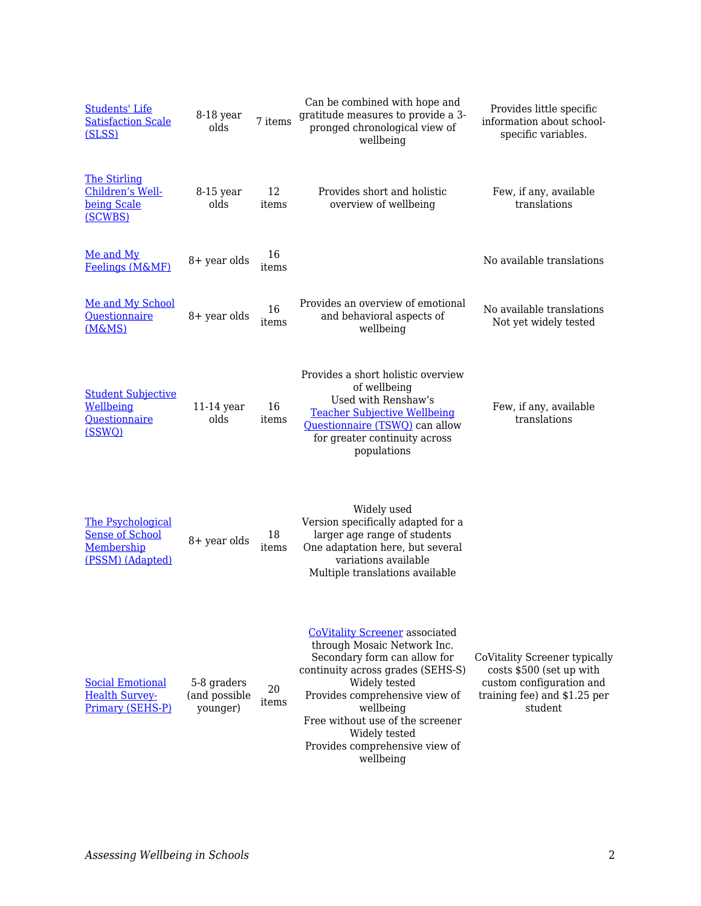| <b>Students' Life</b><br><b>Satisfaction Scale</b><br>(SLSS)                  | 8-18 year<br>olds                        | 7 items     | Can be combined with hope and<br>gratitude measures to provide a 3-<br>pronged chronological view of<br>wellbeing                                                                                                                                                                                             | Provides little specific<br>information about school-<br>specific variables.                                                     |
|-------------------------------------------------------------------------------|------------------------------------------|-------------|---------------------------------------------------------------------------------------------------------------------------------------------------------------------------------------------------------------------------------------------------------------------------------------------------------------|----------------------------------------------------------------------------------------------------------------------------------|
| <b>The Stirling</b><br>Children's Well-<br>being Scale<br>(SCWBS)             | $8-15$ year<br>olds                      | 12<br>items | Provides short and holistic<br>overview of wellbeing                                                                                                                                                                                                                                                          | Few, if any, available<br>translations                                                                                           |
| Me and My<br>Feelings (M&MF)                                                  | 8+ year olds                             | 16<br>items |                                                                                                                                                                                                                                                                                                               | No available translations                                                                                                        |
| Me and My School<br><b>Questionnaire</b><br>(M&MS)                            | 8+ year olds                             | 16<br>items | Provides an overview of emotional<br>and behavioral aspects of<br>wellbeing                                                                                                                                                                                                                                   | No available translations<br>Not yet widely tested                                                                               |
| <b>Student Subjective</b><br>Wellbeing<br>Questionnaire<br>(SSWQ)             | $11-14$ year<br>olds                     | 16<br>items | Provides a short holistic overview<br>of wellbeing<br>Used with Renshaw's<br><b>Teacher Subjective Wellbeing</b><br>Questionnaire (TSWQ) can allow<br>for greater continuity across<br>populations                                                                                                            | Few, if any, available<br>translations                                                                                           |
| The Psychological<br><b>Sense of School</b><br>Membership<br>(PSSM) (Adapted) | 8+ year olds                             | 18<br>items | Widely used<br>Version specifically adapted for a<br>larger age range of students<br>One adaptation here, but several<br>variations available<br>Multiple translations available                                                                                                                              |                                                                                                                                  |
| <b>Social Emotional</b><br><b>Health Survey-</b><br>Primary (SEHS-P)          | 5-8 graders<br>(and possible<br>younger) | 20<br>items | <b>CoVitality Screener associated</b><br>through Mosaic Network Inc.<br>Secondary form can allow for<br>continuity across grades (SEHS-S)<br>Widely tested<br>Provides comprehensive view of<br>wellbeing<br>Free without use of the screener<br>Widely tested<br>Provides comprehensive view of<br>wellbeing | CoVitality Screener typically<br>costs \$500 (set up with<br>custom configuration and<br>training fee) and \$1.25 per<br>student |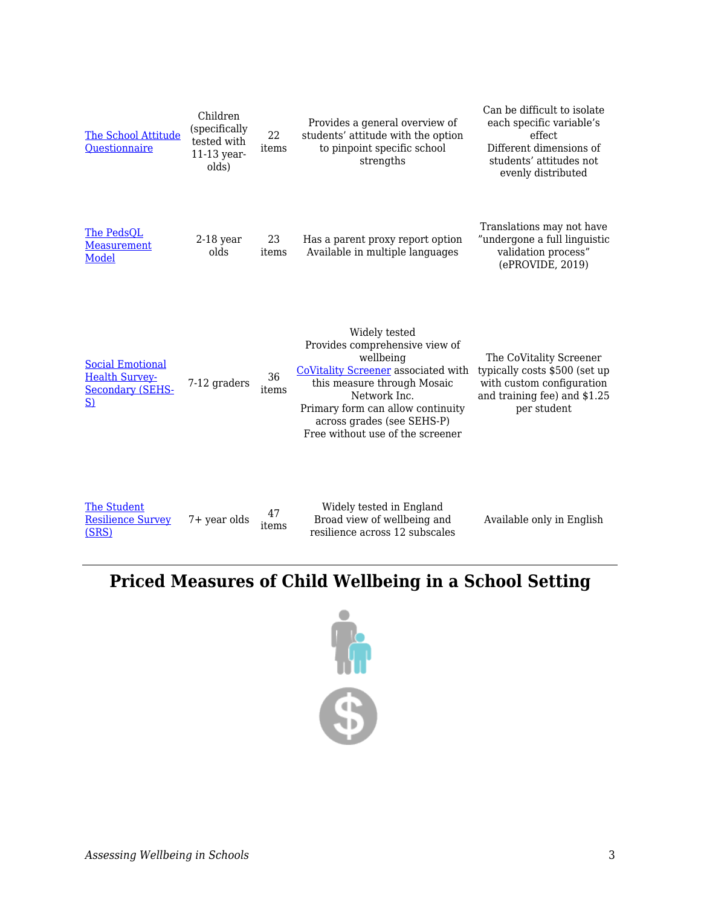| <b>The School Attitude</b><br>Questionnaire                                      | Children<br>(specifically<br>tested with<br>$11-13$ year-<br>olds) | 22<br>items | Provides a general overview of<br>students' attitude with the option<br>to pinpoint specific school<br>strengths                                                                                                                                                 | Can be difficult to isolate<br>each specific variable's<br>effect<br>Different dimensions of<br>students' attitudes not<br>evenly distributed |
|----------------------------------------------------------------------------------|--------------------------------------------------------------------|-------------|------------------------------------------------------------------------------------------------------------------------------------------------------------------------------------------------------------------------------------------------------------------|-----------------------------------------------------------------------------------------------------------------------------------------------|
| The PedsQL<br>Measurement<br>Model                                               | $2-18$ year<br>olds                                                | 23<br>items | Has a parent proxy report option<br>Available in multiple languages                                                                                                                                                                                              | Translations may not have<br>"undergone a full linguistic<br>validation process"<br>(ePROVIDE, 2019)                                          |
| <b>Social Emotional</b><br><b>Health Survey-</b><br><b>Secondary (SEHS-</b><br>S | 7-12 graders                                                       | 36<br>items | Widely tested<br>Provides comprehensive view of<br>wellbeing<br><b>CoVitality Screener</b> associated with<br>this measure through Mosaic<br>Network Inc.<br>Primary form can allow continuity<br>across grades (see SEHS-P)<br>Free without use of the screener | The CoVitality Screener<br>typically costs \$500 (set up<br>with custom configuration<br>and training fee) and \$1.25<br>per student          |

| The Student              |                       | Widely tested in England       | Available only in English |
|--------------------------|-----------------------|--------------------------------|---------------------------|
| <b>Resilience Survey</b> | 7+ year olds<br>ıtems | Broad view of wellbeing and    |                           |
| (SRS)                    |                       | resilience across 12 subscales |                           |

## **Priced Measures of Child Wellbeing in a School Setting**

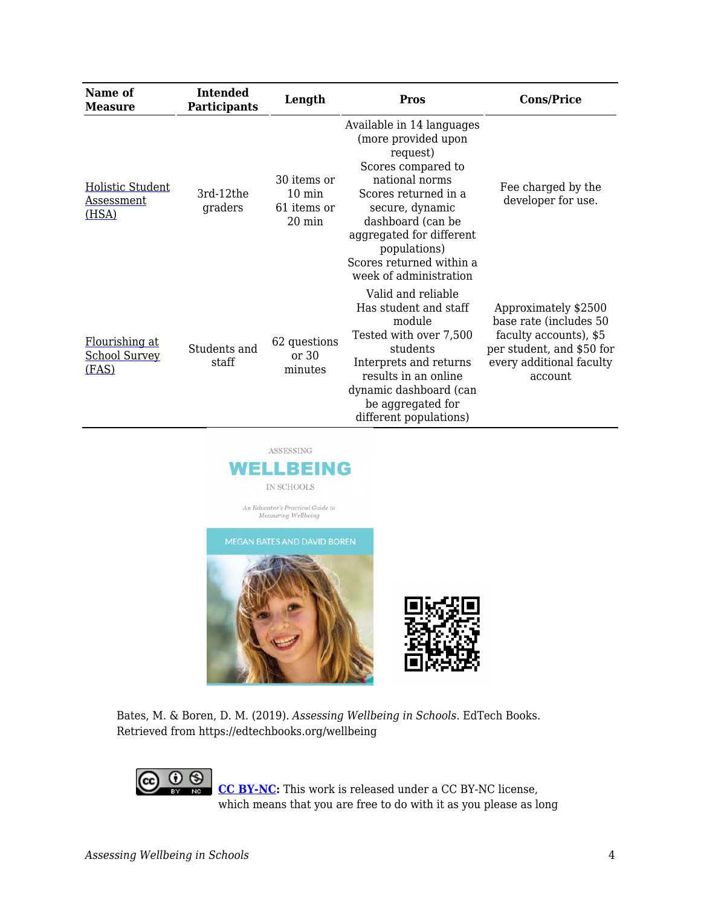| Name of<br>Measure                              | <b>Intended</b><br><b>Participants</b> | Length                                                             | <b>Pros</b>                                                                                                                                                                                                                                                            | <b>Cons/Price</b>                                                                                                                            |
|-------------------------------------------------|----------------------------------------|--------------------------------------------------------------------|------------------------------------------------------------------------------------------------------------------------------------------------------------------------------------------------------------------------------------------------------------------------|----------------------------------------------------------------------------------------------------------------------------------------------|
| Holistic Student<br>Assessment<br>(HSA)         | 3rd-12the<br>graders                   | 30 items or<br>$10 \text{ min}$<br>61 items or<br>$20 \text{ min}$ | Available in 14 languages<br>(more provided upon<br>request)<br>Scores compared to<br>national norms<br>Scores returned in a<br>secure, dynamic<br>dashboard (can be<br>aggregated for different<br>populations)<br>Scores returned within a<br>week of administration | Fee charged by the<br>developer for use.                                                                                                     |
| Flourishing at<br><b>School Survey</b><br>(FAS) | Students and<br>staff                  | 62 questions<br>or 30<br>minutes                                   | Valid and reliable<br>Has student and staff<br>module<br>Tested with over 7,500<br>students<br>Interprets and returns<br>results in an online<br>dynamic dashboard (can<br>be aggregated for<br>different populations)                                                 | Approximately \$2500<br>base rate (includes 50<br>faculty accounts), \$5<br>per student, and \$50 for<br>every additional faculty<br>account |



Bates, M. & Boren, D. M. (2019). *Assessing Wellbeing in Schools*. EdTech Books. Retrieved from https://edtechbooks.org/wellbeing

> **[CC BY-NC](https://creativecommons.org/licenses/by-nc/4.0):** This work is released under a CC BY-NC license, which means that you are free to do with it as you please as long

(cc